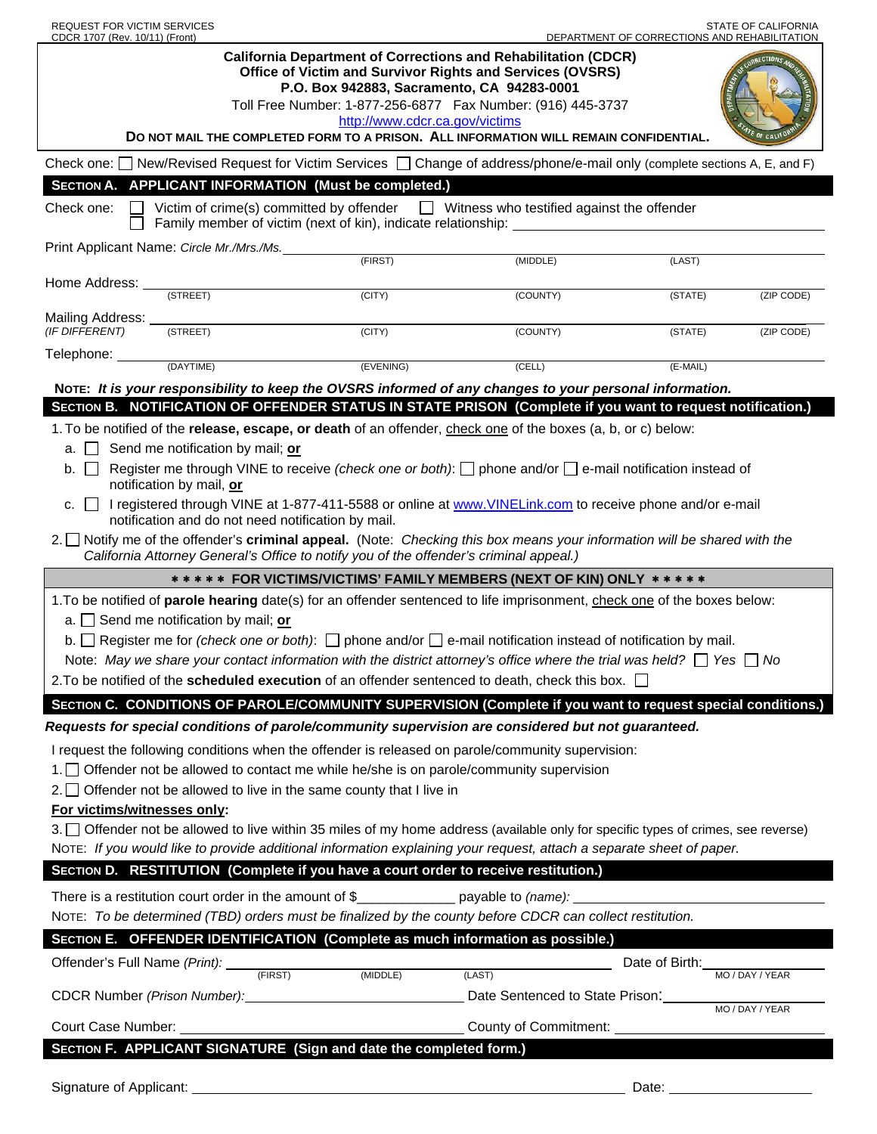| REQUEST FOR VICTIM SERVICES<br>CDCR 1707 (Rev. 10/11) (Front)                                                                                                                                                                            |                                                                                      |                                                                              | <b>STATE OF CALIFORNIA</b><br>DEPARTMENT OF CORRECTIONS AND REHABILITATION                                                                                                                         |                |                 |
|------------------------------------------------------------------------------------------------------------------------------------------------------------------------------------------------------------------------------------------|--------------------------------------------------------------------------------------|------------------------------------------------------------------------------|----------------------------------------------------------------------------------------------------------------------------------------------------------------------------------------------------|----------------|-----------------|
|                                                                                                                                                                                                                                          |                                                                                      | P.O. Box 942883, Sacramento, CA 94283-0001<br>http://www.cdcr.ca.gov/victims | <b>California Department of Corrections and Rehabilitation (CDCR)</b><br>Office of Victim and Survivor Rights and Services (OVSRS)<br>Toll Free Number: 1-877-256-6877  Fax Number: (916) 445-3737 |                |                 |
| DO NOT MAIL THE COMPLETED FORM TO A PRISON. ALL INFORMATION WILL REMAIN CONFIDENTIAL.                                                                                                                                                    |                                                                                      |                                                                              |                                                                                                                                                                                                    |                |                 |
| Check one: New/Revised Request for Victim Services   Change of address/phone/e-mail only (complete sections A, E, and F)                                                                                                                 |                                                                                      |                                                                              |                                                                                                                                                                                                    |                |                 |
| SECTION A. APPLICANT INFORMATION (Must be completed.)                                                                                                                                                                                    |                                                                                      |                                                                              |                                                                                                                                                                                                    |                |                 |
| Victim of crime(s) committed by offender $\Box$ Witness who testified against the offender<br>Check one:<br>Family member of victim (next of kin), indicate relationship:                                                                |                                                                                      |                                                                              |                                                                                                                                                                                                    |                |                 |
|                                                                                                                                                                                                                                          | Print Applicant Name: Circle Mr./Mrs./Ms.                                            | (FIRST)                                                                      | (MIDDLE)                                                                                                                                                                                           | (LAST)         |                 |
| Home Address: _                                                                                                                                                                                                                          |                                                                                      |                                                                              |                                                                                                                                                                                                    |                |                 |
|                                                                                                                                                                                                                                          | (STREET)                                                                             | $\overline{(CITY)}$                                                          | (COUNTY)                                                                                                                                                                                           | (STATE)        | (ZIP CODE)      |
| Mailing Address: _<br>(IF DIFFERENT)                                                                                                                                                                                                     | (STREET)                                                                             | (CITY)                                                                       | (COUNTY)                                                                                                                                                                                           | (STATE)        | (ZIP CODE)      |
| Telephone: 11                                                                                                                                                                                                                            | (DAYTIME)                                                                            | (EVENING)                                                                    | (CELL)                                                                                                                                                                                             | (E-MAIL)       |                 |
| NOTE: It is your responsibility to keep the OVSRS informed of any changes to your personal information.                                                                                                                                  |                                                                                      |                                                                              |                                                                                                                                                                                                    |                |                 |
| SECTION B. NOTIFICATION OF OFFENDER STATUS IN STATE PRISON (Complete if you want to request notification.)                                                                                                                               |                                                                                      |                                                                              |                                                                                                                                                                                                    |                |                 |
| 1. To be notified of the <b>release, escape, or death</b> of an offender, check one of the boxes (a, b, or c) below:                                                                                                                     |                                                                                      |                                                                              |                                                                                                                                                                                                    |                |                 |
| Send me notification by mail; or<br>a. I                                                                                                                                                                                                 |                                                                                      |                                                                              |                                                                                                                                                                                                    |                |                 |
| Register me through VINE to receive (check one or both): $\Box$ phone and/or $\Box$ e-mail notification instead of<br>b. I<br>notification by mail, or                                                                                   |                                                                                      |                                                                              |                                                                                                                                                                                                    |                |                 |
| I registered through VINE at 1-877-411-5588 or online at www.VINELink.com to receive phone and/or e-mail<br>c.<br>notification and do not need notification by mail.                                                                     |                                                                                      |                                                                              |                                                                                                                                                                                                    |                |                 |
| 2. Notify me of the offender's criminal appeal. (Note: Checking this box means your information will be shared with the<br>California Attorney General's Office to notify you of the offender's criminal appeal.)                        |                                                                                      |                                                                              |                                                                                                                                                                                                    |                |                 |
| ***** FOR VICTIMS/VICTIMS' FAMILY MEMBERS (NEXT OF KIN) ONLY *****                                                                                                                                                                       |                                                                                      |                                                                              |                                                                                                                                                                                                    |                |                 |
| 1. To be notified of parole hearing date(s) for an offender sentenced to life imprisonment, check one of the boxes below:                                                                                                                |                                                                                      |                                                                              |                                                                                                                                                                                                    |                |                 |
| a. $\Box$ Send me notification by mail; or                                                                                                                                                                                               |                                                                                      |                                                                              |                                                                                                                                                                                                    |                |                 |
| b. $\Box$ Register me for <i>(check one or both)</i> : $\Box$ phone and/or $\Box$ e-mail notification instead of notification by mail.                                                                                                   |                                                                                      |                                                                              |                                                                                                                                                                                                    |                |                 |
| Note: May we share your contact information with the district attorney's office where the trial was held? $\Box$ Yes $\Box$ No<br>2. To be notified of the scheduled execution of an offender sentenced to death, check this box. $\Box$ |                                                                                      |                                                                              |                                                                                                                                                                                                    |                |                 |
|                                                                                                                                                                                                                                          |                                                                                      |                                                                              |                                                                                                                                                                                                    |                |                 |
| SECTION C. CONDITIONS OF PAROLE/COMMUNITY SUPERVISION (Complete if you want to request special conditions.)<br>Requests for special conditions of parole/community supervision are considered but not guaranteed.                        |                                                                                      |                                                                              |                                                                                                                                                                                                    |                |                 |
| I request the following conditions when the offender is released on parole/community supervision:                                                                                                                                        |                                                                                      |                                                                              |                                                                                                                                                                                                    |                |                 |
| 1. Offender not be allowed to contact me while he/she is on parole/community supervision                                                                                                                                                 |                                                                                      |                                                                              |                                                                                                                                                                                                    |                |                 |
| $2.$ Offender not be allowed to live in the same county that I live in                                                                                                                                                                   |                                                                                      |                                                                              |                                                                                                                                                                                                    |                |                 |
| For victims/witnesses only:                                                                                                                                                                                                              |                                                                                      |                                                                              |                                                                                                                                                                                                    |                |                 |
| 3. Offender not be allowed to live within 35 miles of my home address (available only for specific types of crimes, see reverse)                                                                                                         |                                                                                      |                                                                              |                                                                                                                                                                                                    |                |                 |
| NOTE: If you would like to provide additional information explaining your request, attach a separate sheet of paper.                                                                                                                     |                                                                                      |                                                                              |                                                                                                                                                                                                    |                |                 |
|                                                                                                                                                                                                                                          | SECTION D. RESTITUTION (Complete if you have a court order to receive restitution.)  |                                                                              |                                                                                                                                                                                                    |                |                 |
|                                                                                                                                                                                                                                          | There is a restitution court order in the amount of $\frac{1}{2}$ payable to (name): |                                                                              |                                                                                                                                                                                                    |                |                 |
| NOTE: To be determined (TBD) orders must be finalized by the county before CDCR can collect restitution.                                                                                                                                 |                                                                                      |                                                                              |                                                                                                                                                                                                    |                |                 |
| SECTION E. OFFENDER IDENTIFICATION (Complete as much information as possible.)                                                                                                                                                           |                                                                                      |                                                                              |                                                                                                                                                                                                    |                |                 |
|                                                                                                                                                                                                                                          | Offender's Full Name (Print): (FIRST) (MIDDLE)                                       |                                                                              | (LAST)                                                                                                                                                                                             | Date of Birth: | MO / DAY / YEAR |
|                                                                                                                                                                                                                                          | CDCR Number (Prison Number): CDCR Number (Prison:                                    |                                                                              |                                                                                                                                                                                                    |                | MO / DAY / YEAR |
| Court Case Number:                                                                                                                                                                                                                       |                                                                                      |                                                                              | County of Commitment:                                                                                                                                                                              |                |                 |
| SECTION F. APPLICANT SIGNATURE (Sign and date the completed form.)                                                                                                                                                                       |                                                                                      |                                                                              |                                                                                                                                                                                                    |                |                 |
|                                                                                                                                                                                                                                          |                                                                                      |                                                                              |                                                                                                                                                                                                    |                |                 |
|                                                                                                                                                                                                                                          | Signature of Applicant: <u>contract and a series of Applicant</u>                    |                                                                              |                                                                                                                                                                                                    | Date:          |                 |